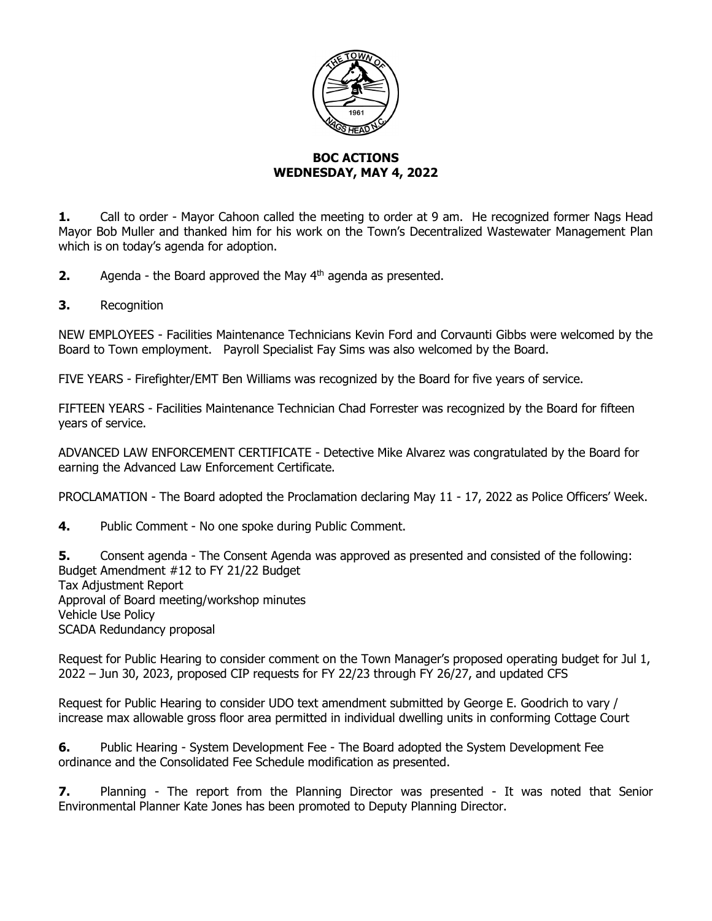

## **BOC ACTIONS WEDNESDAY, MAY 4, 2022**

**1.** Call to order - Mayor Cahoon called the meeting to order at 9 am. He recognized former Nags Head Mayor Bob Muller and thanked him for his work on the Town's Decentralized Wastewater Management Plan which is on today's agenda for adoption.

**2.** Agenda - the Board approved the May 4<sup>th</sup> agenda as presented.

**3.** Recognition

NEW EMPLOYEES - Facilities Maintenance Technicians Kevin Ford and Corvaunti Gibbs were welcomed by the Board to Town employment. Payroll Specialist Fay Sims was also welcomed by the Board.

FIVE YEARS - Firefighter/EMT Ben Williams was recognized by the Board for five years of service.

FIFTEEN YEARS - Facilities Maintenance Technician Chad Forrester was recognized by the Board for fifteen years of service.

ADVANCED LAW ENFORCEMENT CERTIFICATE - Detective Mike Alvarez was congratulated by the Board for earning the Advanced Law Enforcement Certificate.

PROCLAMATION - The Board adopted the Proclamation declaring May 11 - 17, 2022 as Police Officers' Week.

**4.** Public Comment - No one spoke during Public Comment.

**5.** Consent agenda - The Consent Agenda was approved as presented and consisted of the following: Budget Amendment #12 to FY 21/22 Budget Tax Adjustment Report Approval of Board meeting/workshop minutes Vehicle Use Policy SCADA Redundancy proposal

Request for Public Hearing to consider comment on the Town Manager's proposed operating budget for Jul 1, 2022 – Jun 30, 2023, proposed CIP requests for FY 22/23 through FY 26/27, and updated CFS

Request for Public Hearing to consider UDO text amendment submitted by George E. Goodrich to vary / increase max allowable gross floor area permitted in individual dwelling units in conforming Cottage Court

**6.** Public Hearing - System Development Fee - The Board adopted the System Development Fee ordinance and the Consolidated Fee Schedule modification as presented.

**7.** Planning - The report from the Planning Director was presented - It was noted that Senior Environmental Planner Kate Jones has been promoted to Deputy Planning Director.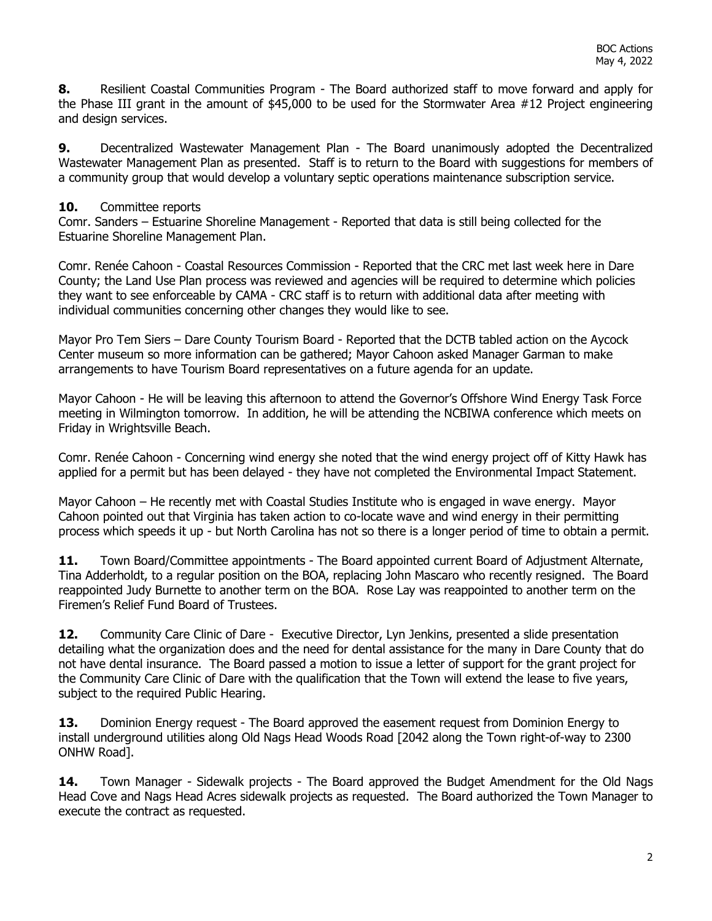**8.** Resilient Coastal Communities Program - The Board authorized staff to move forward and apply for the Phase III grant in the amount of \$45,000 to be used for the Stormwater Area #12 Project engineering and design services.

**9.** Decentralized Wastewater Management Plan - The Board unanimously adopted the Decentralized Wastewater Management Plan as presented. Staff is to return to the Board with suggestions for members of a community group that would develop a voluntary septic operations maintenance subscription service.

## **10.** Committee reports

Comr. Sanders – Estuarine Shoreline Management - Reported that data is still being collected for the Estuarine Shoreline Management Plan.

Comr. Renée Cahoon - Coastal Resources Commission - Reported that the CRC met last week here in Dare County; the Land Use Plan process was reviewed and agencies will be required to determine which policies they want to see enforceable by CAMA - CRC staff is to return with additional data after meeting with individual communities concerning other changes they would like to see.

Mayor Pro Tem Siers – Dare County Tourism Board - Reported that the DCTB tabled action on the Aycock Center museum so more information can be gathered; Mayor Cahoon asked Manager Garman to make arrangements to have Tourism Board representatives on a future agenda for an update.

Mayor Cahoon - He will be leaving this afternoon to attend the Governor's Offshore Wind Energy Task Force meeting in Wilmington tomorrow. In addition, he will be attending the NCBIWA conference which meets on Friday in Wrightsville Beach.

Comr. Renée Cahoon - Concerning wind energy she noted that the wind energy project off of Kitty Hawk has applied for a permit but has been delayed - they have not completed the Environmental Impact Statement.

Mayor Cahoon – He recently met with Coastal Studies Institute who is engaged in wave energy. Mayor Cahoon pointed out that Virginia has taken action to co-locate wave and wind energy in their permitting process which speeds it up - but North Carolina has not so there is a longer period of time to obtain a permit.

**11.** Town Board/Committee appointments - The Board appointed current Board of Adjustment Alternate, Tina Adderholdt, to a regular position on the BOA, replacing John Mascaro who recently resigned. The Board reappointed Judy Burnette to another term on the BOA. Rose Lay was reappointed to another term on the Firemen's Relief Fund Board of Trustees.

**12.** Community Care Clinic of Dare - Executive Director, Lyn Jenkins, presented a slide presentation detailing what the organization does and the need for dental assistance for the many in Dare County that do not have dental insurance. The Board passed a motion to issue a letter of support for the grant project for the Community Care Clinic of Dare with the qualification that the Town will extend the lease to five years, subject to the required Public Hearing.

13. Dominion Energy request - The Board approved the easement request from Dominion Energy to install underground utilities along Old Nags Head Woods Road [2042 along the Town right-of-way to 2300 ONHW Road].

**14.** Town Manager - Sidewalk projects - The Board approved the Budget Amendment for the Old Nags Head Cove and Nags Head Acres sidewalk projects as requested. The Board authorized the Town Manager to execute the contract as requested.